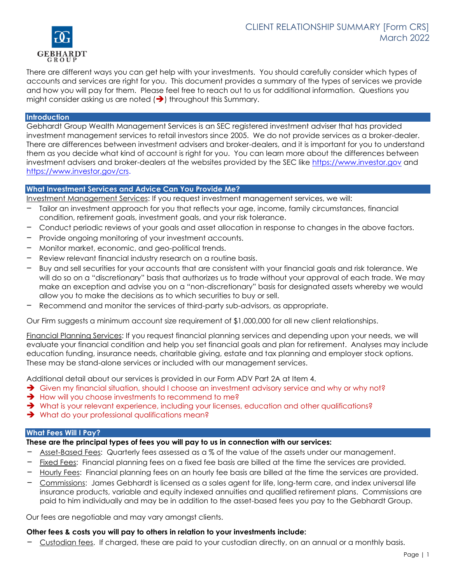

There are different ways you can get help with your investments. You should carefully consider which types of accounts and services are right for you. This document provides a summary of the types of services we provide and how you will pay for them. Please feel free to reach out to us for additional information. Questions you might consider asking us are noted  $\left(\rightarrow\right)$  throughout this Summary.

# **Introduction**

Gebhardt Group Wealth Management Services is an SEC registered investment adviser that has provided investment management services to retail investors since 2005. We do not provide services as a broker-dealer. There are differences between investment advisers and broker-dealers, and it is important for you to understand them as you decide what kind of account is right for you. You can learn more about the differences between investment advisers and broker-dealers at the websites provided by the SEC like [https://www.investor.gov](https://www.investor.gov/) and [https://www.investor.gov/crs.](https://www.investor.gov/crs)

## **What Investment Services and Advice Can You Provide Me?**

Investment Management Services: If you request investment management services, we will:

- Tailor an investment approach for you that reflects your age, income, family circumstances, financial condition, retirement goals, investment goals, and your risk tolerance.
- Conduct periodic reviews of your goals and asset allocation in response to changes in the above factors.
- Provide ongoing monitoring of your investment accounts.
- Monitor market, economic, and geo-political trends.
- Review relevant financial industry research on a routine basis.
- Buy and sell securities for your accounts that are consistent with your financial goals and risk tolerance. We will do so on a "discretionary" basis that authorizes us to trade without your approval of each trade. We may make an exception and advise you on a "non-discretionary" basis for designated assets whereby we would allow you to make the decisions as to which securities to buy or sell.
- Recommend and monitor the services of third-party sub-advisors, as appropriate.

Our Firm suggests a minimum account size requirement of \$1,000,000 for all new client relationships.

Financial Planning Services: If you request financial planning services and depending upon your needs, we will evaluate your financial condition and help you set financial goals and plan for retirement. Analyses may include education funding, insurance needs, charitable giving, estate and tax planning and employer stock options. These may be stand-alone services or included with our management services.

Additional detail about our services is provided in our Form ADV Part 2A at Item 4.

- ➔ Given my financial situation, should I choose an investment advisory service and why or why not?
- **→** How will you choose investments to recommend to me?
- ➔ What is your relevant experience, including your licenses, education and other qualifications?
- **→** What do your professional qualifications mean?

#### **What Fees Will I Pay?**

#### **These are the principal types of fees you will pay to us in connection with our services:**

- Asset-Based Fees: Quarterly fees assessed as a % of the value of the assets under our management.
- Fixed Fees: Financial planning fees on a fixed fee basis are billed at the time the services are provided.
- Hourly Fees: Financial planning fees on an hourly fee basis are billed at the time the services are provided.
- Commissions: James Gebhardt is licensed as a sales agent for life, long-term care, and index universal life insurance products, variable and equity indexed annuities and qualified retirement plans. Commissions are paid to him individually and may be in addition to the asset-based fees you pay to the Gebhardt Group.

Our fees are negotiable and may vary amongst clients.

#### **Other fees & costs you will pay to others in relation to your investments include:**

Custodian fees. If charged, these are paid to your custodian directly, on an annual or a monthly basis.